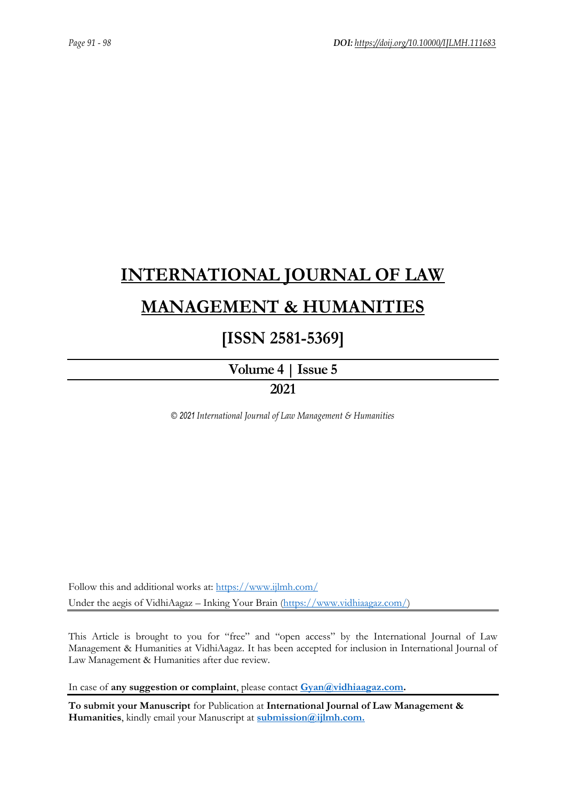# **[INTERNATIONAL JOURNAL OF LAW](https://www.ijlmh.com/)  [MANAGEMENT & HUMANITIES](https://www.ijlmh.com/)**

### **[ISSN 2581-5369]**

**[Volume 4 |](https://www.ijlmh.com/publications/volume-iv-issue-v/) Issue 5 2021**

*© 2021 International Journal of Law Management & Humanities*

Follow this and additional works at:<https://www.ijlmh.com/> Under the aegis of VidhiAagaz – Inking Your Brain [\(https://www.vidhiaagaz.com/\)](https://www.vidhiaagaz.com/)

This Article is brought to you for "free" and "open access" by the International Journal of Law Management & Humanities at VidhiAagaz. It has been accepted for inclusion in International Journal of Law Management & Humanities after due review.

In case of **any suggestion or complaint**, please contact **[Gyan@vidhiaagaz.com.](mailto:Gyan@vidhiaagaz.com)** 

**To submit your Manuscript** for Publication at **International Journal of Law Management & Humanities**, kindly email your Manuscript at **[submission@ijlmh.com.](mailto:submission@ijlmh.com)**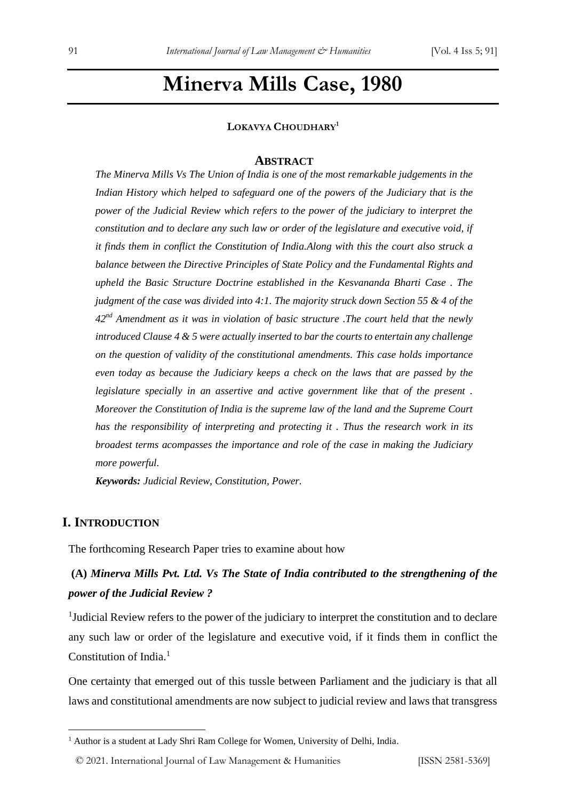## **Minerva Mills Case, 1980**

#### **LOKAVYA CHOUDHARY<sup>1</sup>**

#### **ABSTRACT**

*The Minerva Mills Vs The Union of India is one of the most remarkable judgements in the Indian History which helped to safeguard one of the powers of the Judiciary that is the power of the Judicial Review which refers to the power of the judiciary to interpret the constitution and to declare any such law or order of the legislature and executive void, if it finds them in conflict the Constitution of India.Along with this the court also struck a balance between the Directive Principles of State Policy and the Fundamental Rights and upheld the Basic Structure Doctrine established in the Kesvananda Bharti Case . The judgment of the case was divided into 4:1. The majority struck down Section 55 & 4 of the 42nd Amendment as it was in violation of basic structure .The court held that the newly introduced Clause 4 & 5 were actually inserted to bar the courts to entertain any challenge on the question of validity of the constitutional amendments. This case holds importance even today as because the Judiciary keeps a check on the laws that are passed by the legislature specially in an assertive and active government like that of the present . Moreover the Constitution of India is the supreme law of the land and the Supreme Court has the responsibility of interpreting and protecting it . Thus the research work in its broadest terms acompasses the importance and role of the case in making the Judiciary more powerful.*

*Keywords: Judicial Review, Constitution, Power.*

#### **I. INTRODUCTION**

The forthcoming Research Paper tries to examine about how

### **(A)** *Minerva Mills Pvt. Ltd. Vs The State of India contributed to the strengthening of the power of the Judicial Review ?*

<sup>1</sup>Judicial Review refers to the power of the judiciary to interpret the constitution and to declare any such law or order of the legislature and executive void, if it finds them in conflict the Constitution of India.<sup>1</sup>

One certainty that emerged out of this tussle between Parliament and the judiciary is that all laws and constitutional amendments are now subject to judicial review and laws that transgress

<sup>&</sup>lt;sup>1</sup> Author is a student at Lady Shri Ram College for Women, University of Delhi, India.

<sup>© 2021.</sup> International Journal of [Law Management & Humanities](https://www.ijlmh.com/) [ISSN 2581-5369]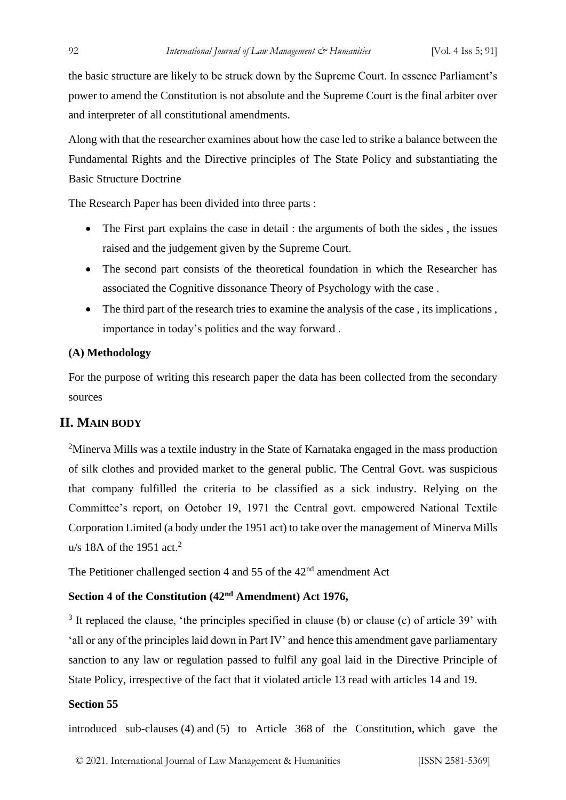the basic structure are likely to be struck down by the Supreme Court. In essence Parliament's power to amend the Constitution is not absolute and the Supreme Court is the final arbiter over and interpreter of all constitutional amendments.

Along with that the researcher examines about how the case led to strike a balance between the Fundamental Rights and the Directive principles of The State Policy and substantiating the Basic Structure Doctrine

The Research Paper has been divided into three parts :

- The First part explains the case in detail : the arguments of both the sides, the issues raised and the judgement given by the Supreme Court.
- The second part consists of the theoretical foundation in which the Researcher has associated the Cognitive dissonance Theory of Psychology with the case .
- The third part of the research tries to examine the analysis of the case, its implications, importance in today's politics and the way forward .

#### **(A) Methodology**

For the purpose of writing this research paper the data has been collected from the secondary sources

#### **II. MAIN BODY**

<sup>2</sup>Minerva Mills was a textile industry in the State of Karnataka engaged in the mass production of silk clothes and provided market to the general public. The Central Govt. was suspicious that company fulfilled the criteria to be classified as a sick industry. Relying on the Committee's report, on October 19, 1971 the Central govt. empowered National Textile Corporation Limited (a body under the 1951 act) to take over the management of Minerva Mills u/s 18A of the 1951 act.<sup>2</sup>

The Petitioner challenged section 4 and 55 of the  $42<sup>nd</sup>$  amendment Act

#### **Section 4 of the Constitution (42nd Amendment) Act 1976,**

 $3$  It replaced the clause, 'the principles specified in clause (b) or clause (c) of article 39' with 'all or any of the principles laid down in Part IV' and hence this amendment gave parliamentary sanction to any law or regulation passed to fulfil any goal laid in the Directive Principle of State Policy, irrespective of the fact that it violated article 13 read with articles 14 and 19.

#### **Section 55**

introduced sub-clauses (4) and (5) to Article 368 of the Constitution, which gave the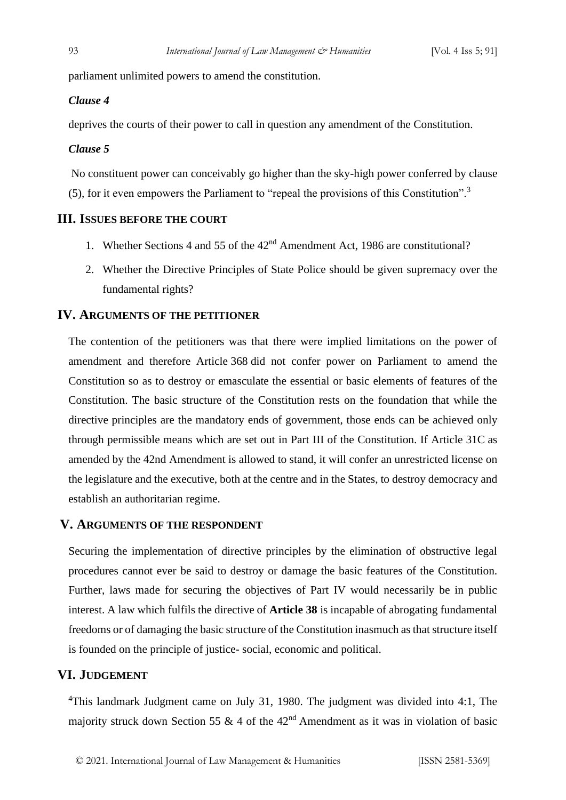parliament unlimited powers to amend the constitution.

#### *Clause 4*

deprives the courts of their power to call in question any amendment of the Constitution.

#### *Clause 5*

No constituent power can conceivably go higher than the sky-high power conferred by clause (5), for it even empowers the Parliament to "repeal the provisions of this Constitution".<sup>3</sup>

#### **III. ISSUES BEFORE THE COURT**

- 1. Whether Sections 4 and 55 of the 42nd Amendment Act, 1986 are constitutional?
- 2. Whether the Directive Principles of State Police should be given supremacy over the fundamental rights?

#### **IV. ARGUMENTS OF THE PETITIONER**

The contention of the petitioners was that there were implied limitations on the power of amendment and therefore Article 368 did not confer power on Parliament to amend the Constitution so as to destroy or emasculate the essential or basic elements of features of the Constitution. The basic structure of the Constitution rests on the foundation that while the directive principles are the mandatory ends of government, those ends can be achieved only through permissible means which are set out in Part III of the Constitution. If Article 31C as amended by the 42nd Amendment is allowed to stand, it will confer an unrestricted license on the legislature and the executive, both at the centre and in the States, to destroy democracy and establish an authoritarian regime.

#### **V. ARGUMENTS OF THE RESPONDENT**

Securing the implementation of directive principles by the elimination of obstructive legal procedures cannot ever be said to destroy or damage the basic features of the Constitution. Further, laws made for securing the objectives of Part IV would necessarily be in public interest. A law which fulfils the directive of **Article 38** is incapable of abrogating fundamental freedoms or of damaging the basic structure of the Constitution inasmuch as that structure itself is founded on the principle of justice- social, economic and political.

#### **VI. JUDGEMENT**

<sup>4</sup>This landmark Judgment came on July 31, 1980. The judgment was divided into 4:1, The majority struck down Section 55 & 4 of the  $42<sup>nd</sup>$  Amendment as it was in violation of basic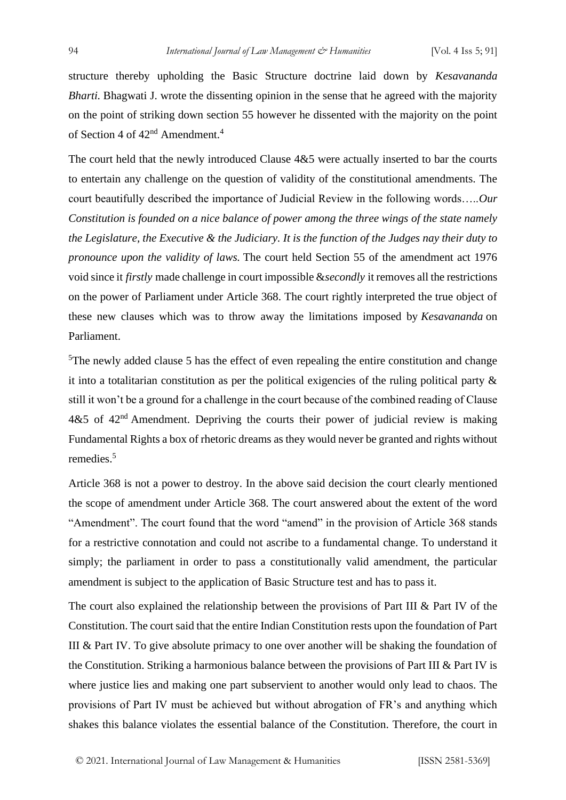structure thereby upholding the Basic Structure doctrine laid down by *Kesavananda Bharti.* Bhagwati J. wrote the dissenting opinion in the sense that he agreed with the majority on the point of striking down section 55 however he dissented with the majority on the point of Section 4 of  $42<sup>nd</sup>$  Amendment.<sup>4</sup>

The court held that the newly introduced Clause 4&5 were actually inserted to bar the courts to entertain any challenge on the question of validity of the constitutional amendments. The court beautifully described the importance of Judicial Review in the following words…..*Our Constitution is founded on a nice balance of power among the three wings of the state namely the Legislature, the Executive & the Judiciary. It is the function of the Judges nay their duty to pronounce upon the validity of laws.* The court held Section 55 of the amendment act 1976 void since it *firstly* made challenge in court impossible &*secondly* it removes all the restrictions on the power of Parliament under Article 368. The court rightly interpreted the true object of these new clauses which was to throw away the limitations imposed by *Kesavananda* on Parliament.

<sup>5</sup>The newly added clause 5 has the effect of even repealing the entire constitution and change it into a totalitarian constitution as per the political exigencies of the ruling political party & still it won't be a ground for a challenge in the court because of the combined reading of Clause  $4&5$  of  $42<sup>nd</sup>$  Amendment. Depriving the courts their power of judicial review is making Fundamental Rights a box of rhetoric dreams as they would never be granted and rights without remedies.<sup>5</sup>

Article 368 is not a power to destroy. In the above said decision the court clearly mentioned the scope of amendment under Article 368. The court answered about the extent of the word "Amendment". The court found that the word "amend" in the provision of Article 368 stands for a restrictive connotation and could not ascribe to a fundamental change. To understand it simply; the parliament in order to pass a constitutionally valid amendment, the particular amendment is subject to the application of Basic Structure test and has to pass it.

The court also explained the relationship between the provisions of Part III & Part IV of the Constitution. The court said that the entire Indian Constitution rests upon the foundation of Part III & Part IV. To give absolute primacy to one over another will be shaking the foundation of the Constitution. Striking a harmonious balance between the provisions of Part III & Part IV is where justice lies and making one part subservient to another would only lead to chaos. The provisions of Part IV must be achieved but without abrogation of FR's and anything which shakes this balance violates the essential balance of the Constitution. Therefore, the court in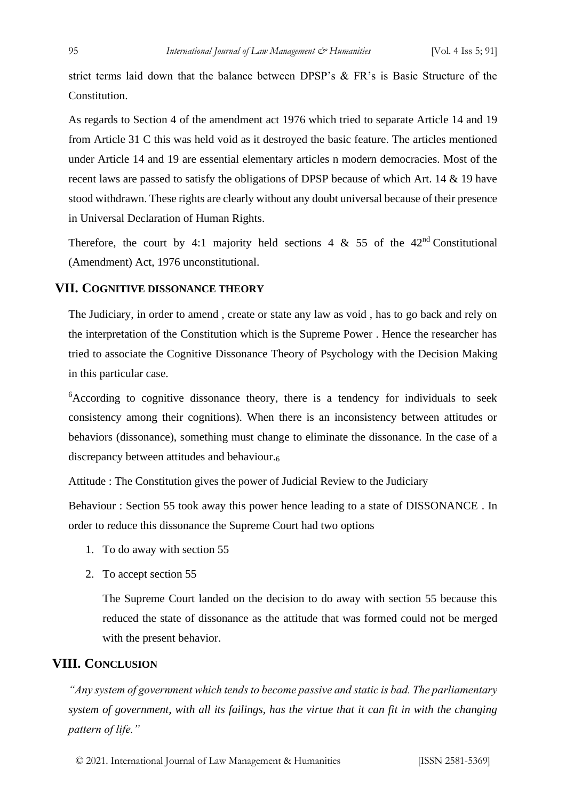strict terms laid down that the balance between DPSP's & FR's is Basic Structure of the Constitution.

As regards to Section 4 of the amendment act 1976 which tried to separate Article 14 and 19 from Article 31 C this was held void as it destroyed the basic feature. The articles mentioned under Article 14 and 19 are essential elementary articles n modern democracies. Most of the recent laws are passed to satisfy the obligations of DPSP because of which Art. 14 & 19 have stood withdrawn. These rights are clearly without any doubt universal because of their presence in Universal Declaration of Human Rights.

Therefore, the court by 4:1 majority held sections 4  $\&$  55 of the 42<sup>nd</sup> Constitutional (Amendment) Act, 1976 unconstitutional.

#### **VII. COGNITIVE DISSONANCE THEORY**

The Judiciary, in order to amend , create or state any law as void , has to go back and rely on the interpretation of the Constitution which is the Supreme Power . Hence the researcher has tried to associate the Cognitive Dissonance Theory of Psychology with the Decision Making in this particular case.

<sup>6</sup>According to cognitive dissonance theory, there is a tendency for individuals to seek consistency among their cognitions). When there is an inconsistency between attitudes or behaviors (dissonance), something must change to eliminate the dissonance. In the case of a discrepancy between attitudes and behaviour.<sup>6</sup>

Attitude : The Constitution gives the power of Judicial Review to the Judiciary

Behaviour : Section 55 took away this power hence leading to a state of DISSONANCE . In order to reduce this dissonance the Supreme Court had two options

- 1. To do away with section 55
- 2. To accept section 55

The Supreme Court landed on the decision to do away with section 55 because this reduced the state of dissonance as the attitude that was formed could not be merged with the present behavior.

#### **VIII. CONCLUSION**

*"Any system of government which tends to become passive and static is bad. The parliamentary system of government, with all its failings, has the virtue that it can fit in with the changing pattern of life."*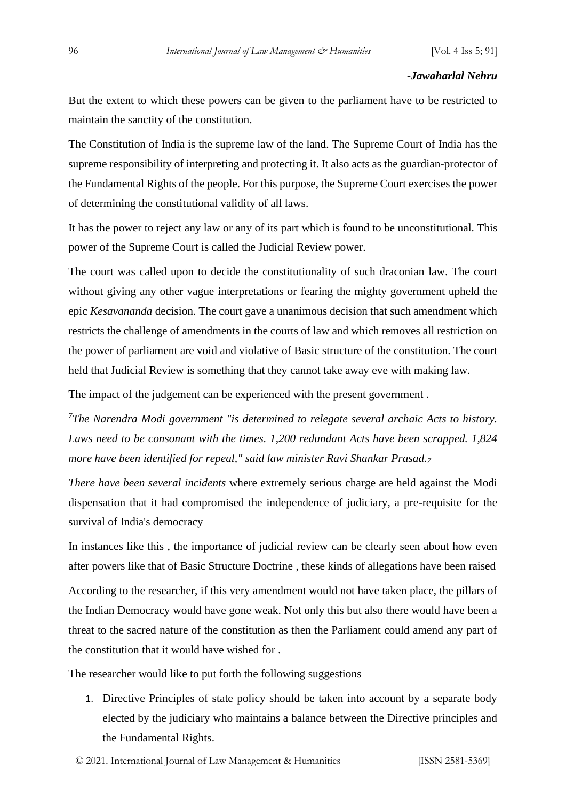#### *-Jawaharlal Nehru*

But the extent to which these powers can be given to the parliament have to be restricted to maintain the sanctity of the constitution.

The Constitution of India is the supreme law of the land. The Supreme Court of India has the supreme responsibility of interpreting and protecting it. It also acts as the guardian-protector of the Fundamental Rights of the people. For this purpose, the Supreme Court exercises the power of determining the constitutional validity of all laws.

It has the power to reject any law or any of its part which is found to be unconstitutional. This power of the Supreme Court is called the Judicial Review power.

The court was called upon to decide the constitutionality of such draconian law. The court without giving any other vague interpretations or fearing the mighty government upheld the epic *Kesavananda* decision. The court gave a unanimous decision that such amendment which restricts the challenge of amendments in the courts of law and which removes all restriction on the power of parliament are void and violative of Basic structure of the constitution. The court held that Judicial Review is something that they cannot take away eve with making law.

The impact of the judgement can be experienced with the present government .

*<sup>7</sup>The Narendra Modi government "is determined to relegate several archaic Acts to history. Laws need to be consonant with the times. 1,200 redundant Acts have been scrapped. 1,824 more have been identified for repeal," said law minister Ravi Shankar Prasad.<sup>7</sup>*

*There have been several incidents* where extremely serious charge are held against the Modi dispensation that it had compromised the independence of judiciary, a pre-requisite for the survival of India's democracy

In instances like this , the importance of judicial review can be clearly seen about how even after powers like that of Basic Structure Doctrine , these kinds of allegations have been raised According to the researcher, if this very amendment would not have taken place, the pillars of the Indian Democracy would have gone weak. Not only this but also there would have been a threat to the sacred nature of the constitution as then the Parliament could amend any part of the constitution that it would have wished for .

The researcher would like to put forth the following suggestions

1. Directive Principles of state policy should be taken into account by a separate body elected by the judiciary who maintains a balance between the Directive principles and the Fundamental Rights.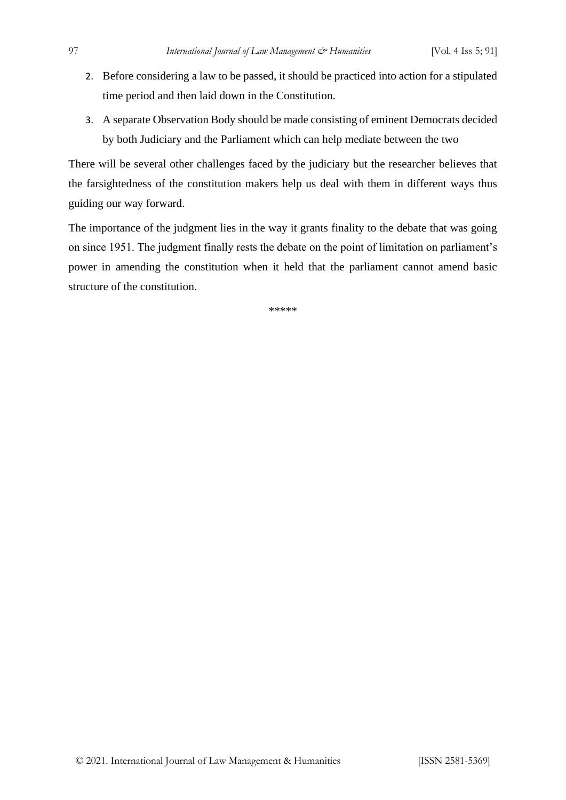- 2. Before considering a law to be passed, it should be practiced into action for a stipulated time period and then laid down in the Constitution.
- 3. A separate Observation Body should be made consisting of eminent Democrats decided by both Judiciary and the Parliament which can help mediate between the two

There will be several other challenges faced by the judiciary but the researcher believes that the farsightedness of the constitution makers help us deal with them in different ways thus guiding our way forward.

The importance of the judgment lies in the way it grants finality to the debate that was going on since 1951. The judgment finally rests the debate on the point of limitation on parliament's power in amending the constitution when it held that the parliament cannot amend basic structure of the constitution.

\*\*\*\*\*